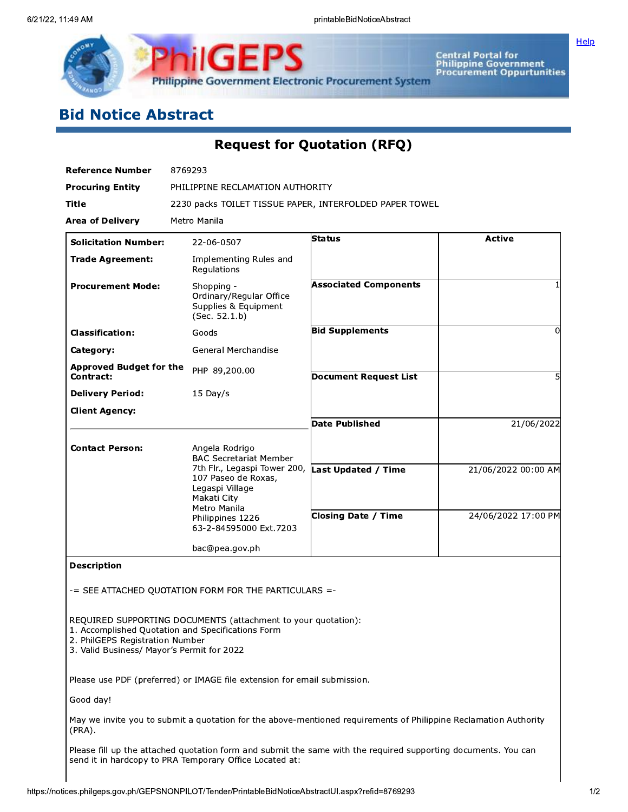

**Central Portal for<br>Philippine Government<br>Procurement Oppurtunities** 

# **Bid Notice Abstract**

**Request for Quotation (RFQ)** 

| <b>Reference Number</b>                                                       | 8769293                                                                                                            |                              |                     |
|-------------------------------------------------------------------------------|--------------------------------------------------------------------------------------------------------------------|------------------------------|---------------------|
| <b>Procuring Entity</b>                                                       | PHILIPPINE RECLAMATION AUTHORITY                                                                                   |                              |                     |
| Title                                                                         | 2230 packs TOILET TISSUE PAPER, INTERFOLDED PAPER TOWEL                                                            |                              |                     |
| <b>Area of Delivery</b>                                                       | Metro Manila                                                                                                       |                              |                     |
| <b>Solicitation Number:</b>                                                   | 22-06-0507                                                                                                         | Status                       | <b>Active</b>       |
| <b>Trade Agreement:</b>                                                       | Implementing Rules and<br>Regulations                                                                              |                              |                     |
| <b>Procurement Mode:</b>                                                      | Shopping -<br>Ordinary/Regular Office<br>Supplies & Equipment<br>(Sec. 52.1.b)                                     | <b>Associated Components</b> |                     |
| <b>Classification:</b>                                                        | Goods                                                                                                              | <b>Bid Supplements</b>       | 0                   |
| Category:                                                                     | General Merchandise                                                                                                |                              |                     |
| <b>Approved Budget for the</b><br>Contract:                                   | PHP 89,200.00                                                                                                      | Document Request List        | 5                   |
| <b>Delivery Period:</b>                                                       | 15 Day/s                                                                                                           |                              |                     |
| <b>Client Agency:</b>                                                         |                                                                                                                    |                              |                     |
|                                                                               |                                                                                                                    | <b>Date Published</b>        | 21/06/2022          |
| <b>Contact Person:</b>                                                        | Angela Rodrigo<br><b>BAC Secretariat Member</b>                                                                    |                              |                     |
|                                                                               | 7th Flr., Legaspi Tower 200,<br>107 Paseo de Roxas,<br>Legaspi Village<br>Makati City                              | Last Updated / Time          | 21/06/2022 00:00 AM |
|                                                                               | Metro Manila<br>Philippines 1226<br>63-2-84595000 Ext.7203                                                         | <b>Closing Date / Time</b>   | 24/06/2022 17:00 PM |
|                                                                               | bac@pea.gov.ph                                                                                                     |                              |                     |
| <b>Description</b>                                                            |                                                                                                                    |                              |                     |
|                                                                               | -= SEE ATTACHED QUOTATION FORM FOR THE PARTICULARS =-                                                              |                              |                     |
| 2. PhilGEPS Registration Number<br>3. Valid Business/ Mayor's Permit for 2022 | REQUIRED SUPPORTING DOCUMENTS (attachment to your quotation):<br>1. Accomplished Quotation and Specifications Form |                              |                     |
|                                                                               | Please use PDF (preferred) or IMAGE file extension for email submission.                                           |                              |                     |
| Good day!                                                                     |                                                                                                                    |                              |                     |
| (PRA).                                                                        | May we invite you to submit a quotation for the above-mentioned requirements of Philippine Reclamation Authority   |                              |                     |
|                                                                               | Please fill up the attached quotation form and submit the same with the required supporting documents. You can     |                              |                     |

send it in hardcopy to PRA Temporary Office Located at: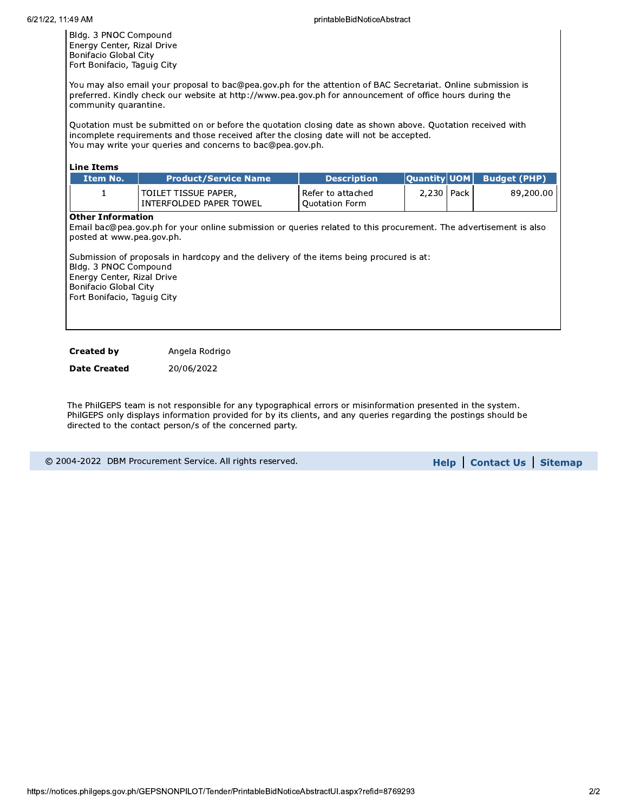Bldg. 3 PNOC Compound Energy Center, Rizal Drive Bonifacio Global City Fort Bonifacio, Taguig City

You may also email your proposal to bac@pea.gov.ph for the attention of BAC Secretariat. Online submission is preferred. Kindly check our website at http://www.pea.gov.ph for announcement of office hours during the community quarantine.

Quotation must be submitted on or before the quotation closing date as shown above. Quotation received with incomplete requirements and those received after the closing date will not be accepted. You may write your queries and concerns to bac@pea.gov.ph.

| <b>Line Items</b>                                                                                                                                                    |                                                                                                                                                                                                              |                                            |                     |        |                     |
|----------------------------------------------------------------------------------------------------------------------------------------------------------------------|--------------------------------------------------------------------------------------------------------------------------------------------------------------------------------------------------------------|--------------------------------------------|---------------------|--------|---------------------|
| Item No.                                                                                                                                                             | <b>Product/Service Name</b>                                                                                                                                                                                  | <b>Description</b>                         | <b>Quantity UOM</b> |        | <b>Budget (PHP)</b> |
| 1                                                                                                                                                                    | TOILET TISSUE PAPER,<br>INTERFOLDED PAPER TOWEL                                                                                                                                                              | Refer to attached<br><b>Quotation Form</b> | 2,230               | Pack I | 89,200.00           |
| <b>Other Information</b><br>posted at www.pea.gov.ph.<br>Bldg. 3 PNOC Compound<br>Energy Center, Rizal Drive<br>Bonifacio Global City<br>Fort Bonifacio, Taguig City | Email bac@pea.gov.ph for your online submission or queries related to this procurement. The advertisement is also<br>Submission of proposals in hardcopy and the delivery of the items being procured is at: |                                            |                     |        |                     |

**Created by** Angela Rodrigo

**Date Created** 20/06/2022

The PhilGEPS team is not responsible for any typographical errors or misinformation presented in the system. PhilGEPS only displays information provided for by its clients, and any queries regarding the postings should be directed to the contact person/s of the concerned party.

|  | © 2004-2022 DBM Procurement Service. All rights reserved. |  |  |
|--|-----------------------------------------------------------|--|--|
|  |                                                           |  |  |
|  |                                                           |  |  |

**Help | Contact Us | Sitemap**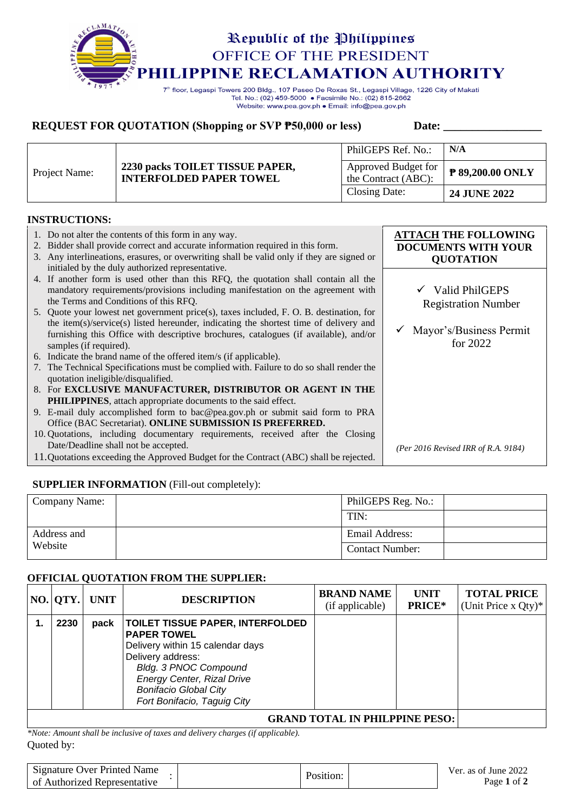

Tel. No.: (02) 459-5000 · Facsimile No.: (02) 815-2662 Website: www.pea.gov.ph . Email: info@pea.gov.ph

## **REQUEST FOR QUOTATION (Shopping or SVP**  $\overline{P50,000}$  **or less)** Date:

|               |                                                                   | PhilGEPS Ref. No.:                         | N/A                 |
|---------------|-------------------------------------------------------------------|--------------------------------------------|---------------------|
| Project Name: | 2230 packs TOILET TISSUE PAPER,<br><b>INTERFOLDED PAPER TOWEL</b> | Approved Budget for<br>the Contract (ABC): | P 89,200.00 ONLY    |
|               |                                                                   | Closing Date:                              | <b>24 JUNE 2022</b> |

#### **INSTRUCTIONS:**

| Bidder shall provide correct and accurate information required in this form.<br>2.<br><b>DOCUMENTS WITH YOUR</b><br>3. Any interlineations, erasures, or overwriting shall be valid only if they are signed or<br><b>QUOTATION</b><br>initialed by the duly authorized representative. |  |
|----------------------------------------------------------------------------------------------------------------------------------------------------------------------------------------------------------------------------------------------------------------------------------------|--|
| 4. If another form is used other than this RFQ, the quotation shall contain all the<br>$\checkmark$ Valid PhilGEPS<br>mandatory requirements/provisions including manifestation on the agreement with<br>the Terms and Conditions of this RFQ.<br><b>Registration Number</b>           |  |
| 5. Quote your lowest net government price(s), taxes included, F. O. B. destination, for<br>the item(s)/service(s) listed hereunder, indicating the shortest time of delivery and<br>Mayor's/Business Permit                                                                            |  |
| furnishing this Office with descriptive brochures, catalogues (if available), and/or<br>for $2022$<br>samples (if required).                                                                                                                                                           |  |
| 6. Indicate the brand name of the offered item/s (if applicable).                                                                                                                                                                                                                      |  |
| 7. The Technical Specifications must be complied with. Failure to do so shall render the<br>quotation ineligible/disqualified.                                                                                                                                                         |  |
| 8. For EXCLUSIVE MANUFACTURER, DISTRIBUTOR OR AGENT IN THE                                                                                                                                                                                                                             |  |
| <b>PHILIPPINES</b> , attach appropriate documents to the said effect.                                                                                                                                                                                                                  |  |
| 9. E-mail duly accomplished form to bac@pea.gov.ph or submit said form to PRA                                                                                                                                                                                                          |  |
| Office (BAC Secretariat). ONLINE SUBMISSION IS PREFERRED.                                                                                                                                                                                                                              |  |
| 10. Quotations, including documentary requirements, received after the Closing<br>Date/Deadline shall not be accepted.                                                                                                                                                                 |  |
| (Per 2016 Revised IRR of R.A. 9184)<br>11. Quotations exceeding the Approved Budget for the Contract (ABC) shall be rejected.                                                                                                                                                          |  |

### **SUPPLIER INFORMATION** (Fill-out completely):

| Company Name: | PhilGEPS Reg. No.:     |  |
|---------------|------------------------|--|
|               | TIN:                   |  |
| Address and   | Email Address:         |  |
| Website       | <b>Contact Number:</b> |  |

#### **OFFICIAL QUOTATION FROM THE SUPPLIER:**

|  |      | NO.  QTY.   UNIT | <b>DESCRIPTION</b>                                                                                                                                                                                                                                  | <b>BRAND NAME</b><br>(if applicable) | <b>UNIT</b><br>PRICE* | <b>TOTAL PRICE</b><br>(Unit Price x Qty)* |
|--|------|------------------|-----------------------------------------------------------------------------------------------------------------------------------------------------------------------------------------------------------------------------------------------------|--------------------------------------|-----------------------|-------------------------------------------|
|  | 2230 | pack             | <b>TOILET TISSUE PAPER, INTERFOLDED</b><br><b>PAPER TOWEL</b><br>Delivery within 15 calendar days<br>Delivery address:<br>Bldg. 3 PNOC Compound<br><b>Energy Center, Rizal Drive</b><br><b>Bonifacio Global City</b><br>Fort Bonifacio, Taguig City |                                      |                       |                                           |
|  |      |                  |                                                                                                                                                                                                                                                     |                                      |                       |                                           |

Quoted by: *\*Note: Amount shall be inclusive of taxes and delivery charges (if applicable).*

| <b>Signature Over Printed Name</b><br>of Authorized Representative | Position: | Ver. as of June 2022<br>Page 1 of 2 |
|--------------------------------------------------------------------|-----------|-------------------------------------|
|                                                                    |           |                                     |